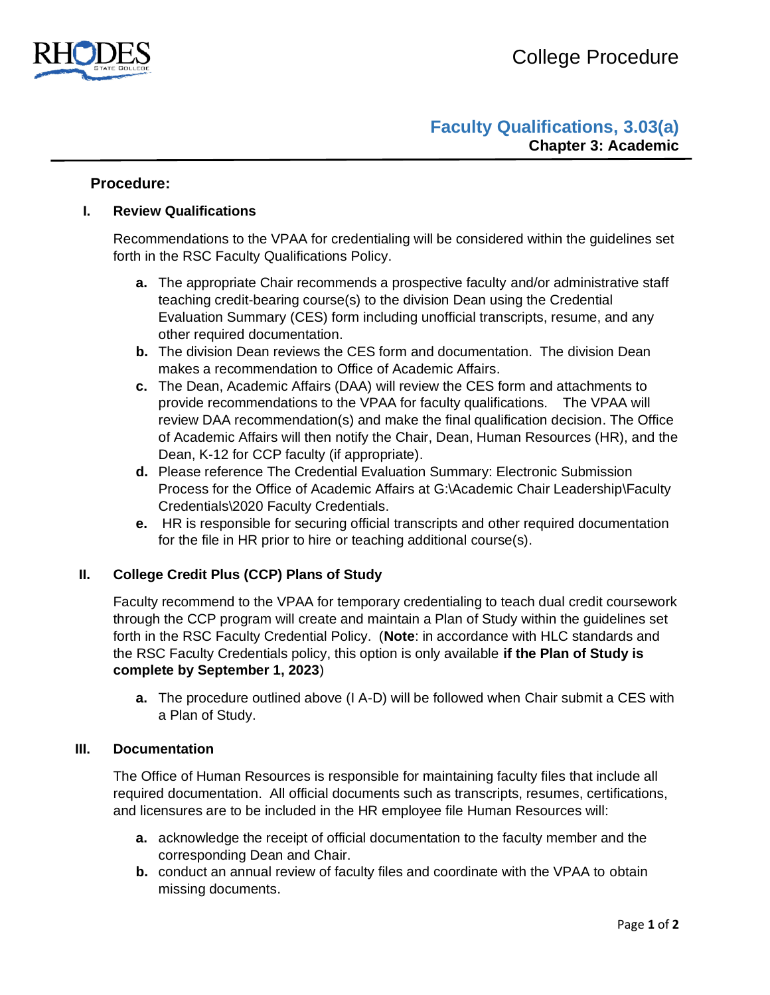

# **Faculty Qualifications, 3.03(a) Chapter 3: Academic**

# **Procedure:**

## **I. Review Qualifications**

Recommendations to the VPAA for credentialing will be considered within the guidelines set forth in the RSC Faculty Qualifications Policy.

- **a.** The appropriate Chair recommends a prospective faculty and/or administrative staff teaching credit-bearing course(s) to the division Dean using the Credential Evaluation Summary (CES) form including unofficial transcripts, resume, and any other required documentation.
- **b.** The division Dean reviews the CES form and documentation. The division Dean makes a recommendation to Office of Academic Affairs.
- **c.** The Dean, Academic Affairs (DAA) will review the CES form and attachments to provide recommendations to the VPAA for faculty qualifications. The VPAA will review DAA recommendation(s) and make the final qualification decision. The Office of Academic Affairs will then notify the Chair, Dean, Human Resources (HR), and the Dean, K-12 for CCP faculty (if appropriate).
- **d.** Please reference The Credential Evaluation Summary: Electronic Submission Process for the Office of Academic Affairs at G:\Academic Chair Leadership\Faculty Credentials\2020 Faculty Credentials.
- **e.** HR is responsible for securing official transcripts and other required documentation for the file in HR prior to hire or teaching additional course(s).

## **II. College Credit Plus (CCP) Plans of Study**

Faculty recommend to the VPAA for temporary credentialing to teach dual credit coursework through the CCP program will create and maintain a Plan of Study within the guidelines set forth in the RSC Faculty Credential Policy. (**Note**: in accordance with HLC standards and the RSC Faculty Credentials policy, this option is only available **if the Plan of Study is complete by September 1, 2023**)

**a.** The procedure outlined above (I A-D) will be followed when Chair submit a CES with a Plan of Study.

#### **III. Documentation**

The Office of Human Resources is responsible for maintaining faculty files that include all required documentation. All official documents such as transcripts, resumes, certifications, and licensures are to be included in the HR employee file Human Resources will:

- **a.** acknowledge the receipt of official documentation to the faculty member and the corresponding Dean and Chair.
- **b.** conduct an annual review of faculty files and coordinate with the VPAA to obtain missing documents.